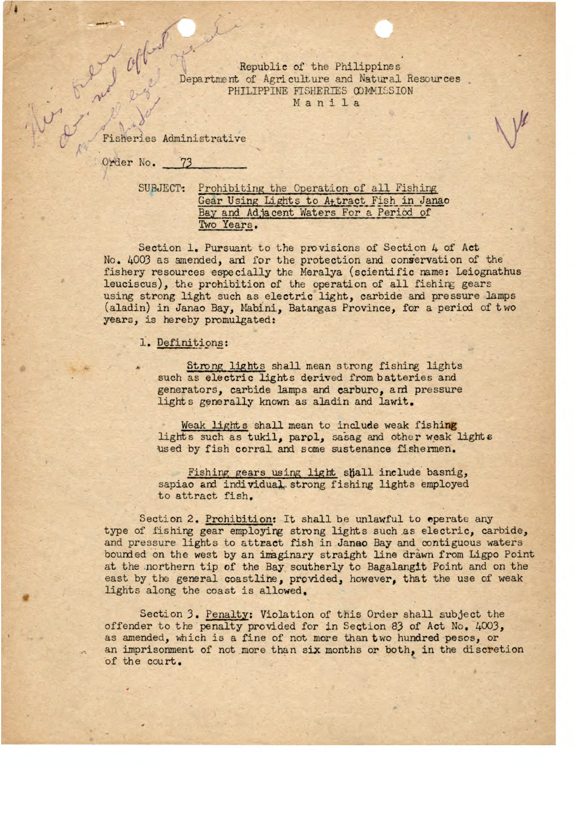Republic of the Philippines Department of Agriculture and Natural Resources PHILIPPINE FISHERIES WWISSION N a n i 1 a

Fisheries Administrative

Order No. 73

SUBJECT: Prohibiting the Oporation of all Fishing Gear Using Lights to A<sub>t</sub>tract Fish in Janao Bay and Adjacent Waters For a Period of Two Years,

Section 1. Pursuant to the provisions of Section 4 of Act No. 4003 as amended, and for the protection and conservation of the fishery resources especially the Neralya (scientific name: Leiognathus leuciscus), the prohibition of the operation of all fishing gears using strong light such as electric light, carbide and pressure lamps (aladin) in Janao Bay, Mabini, Batangas Province, for a period of two years, is hereby promulgated:

1. Definitions:

Strong lights shall mean strong fishing lights such as electric lights derived from batteries and generators, carbide lamps and carburo, and pressure lights generally known as aladin and lawit.

Weak lights shall mean to include weak fishing lights such as tukil, parpi, sacag *and* other weak lights used by fish corral and some sustenance fishermen.

Fishing gears using light shall include basnig, sapiao and individual strong fishing lights employed to attract fish.

Section 2. Prohibition: It shall be unlawful to operate any type of fishing gear employing strong lights such as electric, carbide, and pressure lights to attract fish in Janao Bay and contiguous waters bounded on the west by an inginary straight line drawn from Ligpo Point at the northern tip of the Bay southerly to Bagalangit Point and on the east by the general coastline, provided, however, that the use of weak lights along the coast is allowed.

Section *3.* Penalty: Violation of this Order shall subject the offender to the penalty provided for in Section 83 of Act No. 4003, as amended, which is a fine of not more than two hundred pesos, or an imprisonment of not more than six months or both, in the discretion of the court.